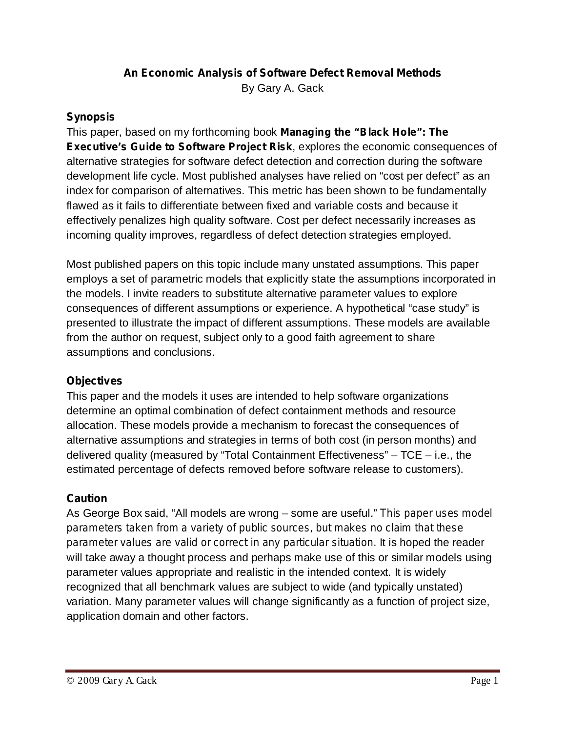# **An Economic Analysis of Software Defect Removal Methods**

By Gary A. Gack

#### **Synopsis**

This paper, based on my forthcoming book *Managing the "Black Hole": The Executive's Guide to Software Project Risk, explores the economic consequences of* alternative strategies for software defect detection and correction during the software development life cycle. Most published analyses have relied on "cost per defect" as an index for comparison of alternatives. This metric has been shown to be fundamentally flawed as it fails to differentiate between fixed and variable costs and because it effectively penalizes high quality software. Cost per defect necessarily increases as incoming quality improves, regardless of defect detection strategies employed.

Most published papers on this topic include many unstated assumptions. This paper employs a set of parametric models that explicitly state the assumptions incorporated in the models. I invite readers to substitute alternative parameter values to explore consequences of different assumptions or experience. A hypothetical "case study" is presented to illustrate the impact of different assumptions. These models are available from the author on request, subject only to a good faith agreement to share assumptions and conclusions.

## **Objectives**

This paper and the models it uses are intended to help software organizations determine an optimal combination of defect containment methods and resource allocation. These models provide a mechanism to forecast the consequences of alternative assumptions and strategies in terms of both cost (in person months) and delivered quality (measured by "Total Containment Effectiveness" – TCE – i.e., the estimated percentage of defects removed before software release to customers).

## **Caution**

As George Box said, "All models are wrong – some are useful." *This paper uses model* parameter values are valid or correct in any particular situation. It is hoped the reader will take away a thought process and perhaps make use of this or similar models using parameter values appropriate and realistic in the intended context. It is widely recognized that all benchmark values are subject to wide (and typically unstated) variation. Many parameter values will change significantly as a function of project size, application domain and other factors. *parameters taken from a variety of public sources, but makes no claim that these*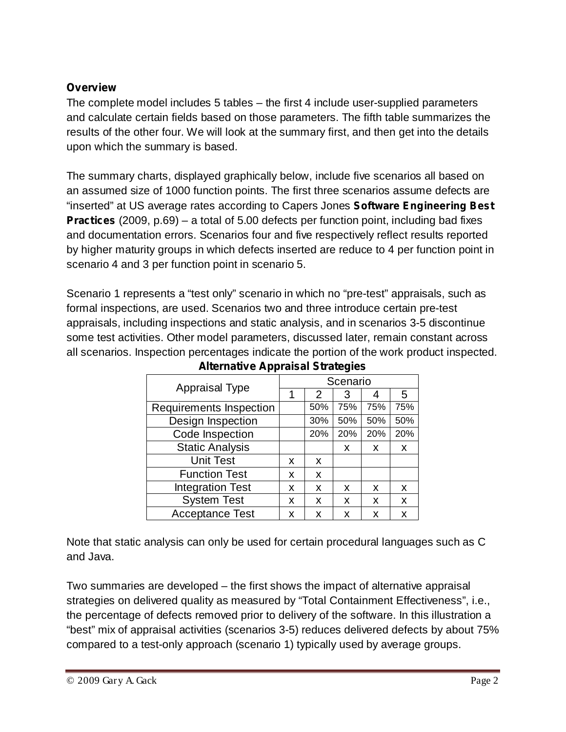## **Overview**

The complete model includes 5 tables – the first 4 include user-supplied parameters and calculate certain fields based on those parameters. The fifth table summarizes the results of the other four. We will look at the summary first, and then get into the details upon which the summary is based.

The summary charts, displayed graphically below, include five scenarios all based on an assumed size of 1000 function points. The first three scenarios assume defects are "inserted" at US average rates according to Capers Jones *Software Engineering Best* **Practices** (2009, p.69) – a total of 5.00 defects per function point, including bad fixes and documentation errors. Scenarios four and five respectively reflect results reported by higher maturity groups in which defects inserted are reduce to 4 per function point in scenario 4 and 3 per function point in scenario 5.

Scenario 1 represents a "test only" scenario in which no "pre-test" appraisals, such as formal inspections, are used. Scenarios two and three introduce certain pre-test appraisals, including inspections and static analysis, and in scenarios 3-5 discontinue some test activities. Other model parameters, discussed later, remain constant across all scenarios. Inspection percentages indicate the portion of the work product inspected.

| <b>Appraisal Type</b>   |   | Scenario      |     |     |     |  |  |  |
|-------------------------|---|---------------|-----|-----|-----|--|--|--|
|                         |   | $\mathcal{P}$ | 3   |     | 5   |  |  |  |
| Requirements Inspection |   | 50%           | 75% | 75% | 75% |  |  |  |
| Design Inspection       |   | 30%           | 50% | 50% | 50% |  |  |  |
| Code Inspection         |   | 20%           | 20% | 20% | 20% |  |  |  |
| <b>Static Analysis</b>  |   |               | X   | X   | X   |  |  |  |
| <b>Unit Test</b>        | x | x             |     |     |     |  |  |  |
| <b>Function Test</b>    | x | X             |     |     |     |  |  |  |
| <b>Integration Test</b> | x | X             | X   | X   | X   |  |  |  |
| <b>System Test</b>      | x | x             | x   | X   | X   |  |  |  |
| <b>Acceptance Test</b>  | x | x             | x   | x   | x   |  |  |  |

**Alternative Appraisal Strategies**

Note that static analysis can only be used for certain procedural languages such as C and Java.

Two summaries are developed – the first shows the impact of alternative appraisal strategies on delivered quality as measured by "Total Containment Effectiveness", i.e., the percentage of defects removed prior to delivery of the software. In this illustration a "best" mix of appraisal activities (scenarios 3-5) reduces delivered defects by about 75% compared to a test-only approach (scenario 1) typically used by average groups.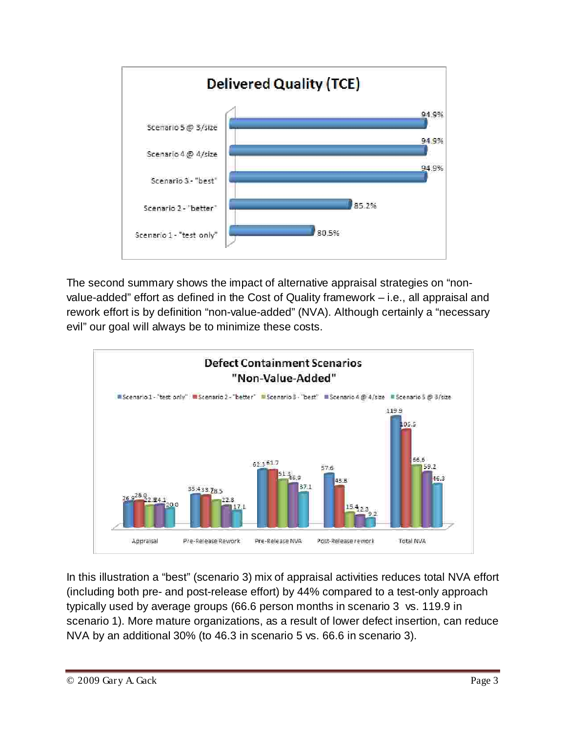

The second summary shows the impact of alternative appraisal strategies on "nonvalue-added" effort as defined in the Cost of Quality framework – i.e., all appraisal and rework effort is by definition "non-value-added" (NVA). Although certainly a "necessary evil" our goal will always be to minimize these costs.



In this illustration a "best" (scenario 3) mix of appraisal activities reduces total NVA effort (including both pre- and post-release effort) by 44% compared to a test-only approach typically used by average groups (66.6 person months in scenario 3 vs. 119.9 in scenario 1). More mature organizations, as a result of lower defect insertion, can reduce NVA by an additional 30% (to 46.3 in scenario 5 vs. 66.6 in scenario 3).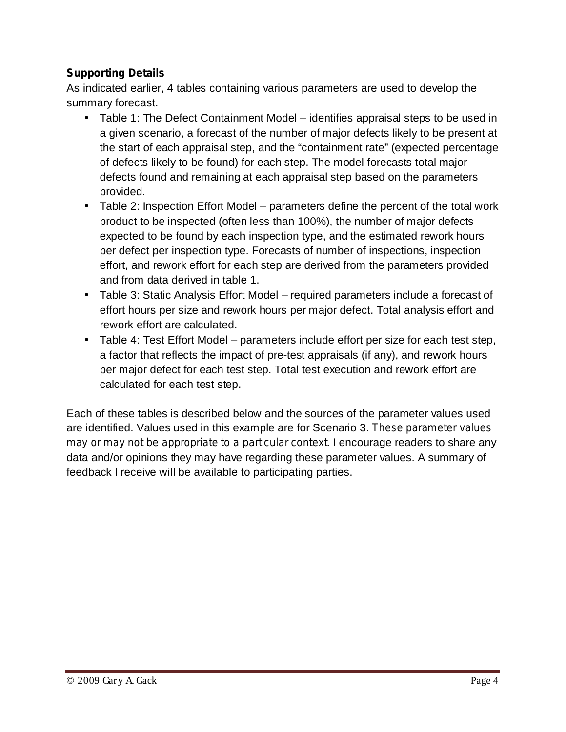## **Supporting Details**

As indicated earlier, 4 tables containing various parameters are used to develop the summary forecast.

- Table 1: The Defect Containment Model identifies appraisal steps to be used in a given scenario, a forecast of the number of major defects likely to be present at the start of each appraisal step, and the "containment rate" (expected percentage of defects likely to be found) for each step. The model forecasts total major defects found and remaining at each appraisal step based on the parameters provided.
- Table 2: Inspection Effort Model parameters define the percent of the total work product to be inspected (often less than 100%), the number of major defects expected to be found by each inspection type, and the estimated rework hours per defect per inspection type. Forecasts of number of inspections, inspection effort, and rework effort for each step are derived from the parameters provided and from data derived in table 1.
- Table 3: Static Analysis Effort Model required parameters include a forecast of effort hours per size and rework hours per major defect. Total analysis effort and rework effort are calculated.
- Table 4: Test Effort Model parameters include effort per size for each test step, a factor that reflects the impact of pre-test appraisals (if any), and rework hours per major defect for each test step. Total test execution and rework effort are calculated for each test step.

Each of these tables is described below and the sources of the parameter values used are identified. Values used in this example are for Scenario 3. *These parameter values may or may not be appropriate to a particular context.* I encourage readers to share any data and/or opinions they may have regarding these parameter values. A summary of feedback I receive will be available to participating parties.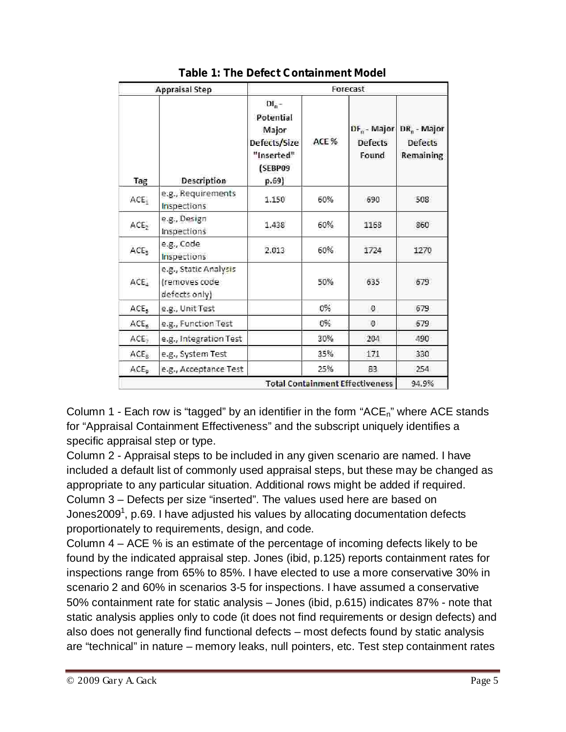| <b>Appraisal Step</b> |                                                         | Forecast                                                                         |       |                                           |                                        |  |  |
|-----------------------|---------------------------------------------------------|----------------------------------------------------------------------------------|-------|-------------------------------------------|----------------------------------------|--|--|
| Tag                   | Description                                             | $DI_n -$<br>Potential<br>Major<br>Defects/Size<br>"Inserted"<br>(SEBP09<br>p.69) | ACE % | $DF_n$ - Major<br><b>Defects</b><br>Found | $DR_n - Major$<br>Defects<br>Remaining |  |  |
| ACE,                  | e.g., Requirements<br>Inspections.                      | 1.150                                                                            | 60%   | 690                                       | 508                                    |  |  |
| ACE,                  | e.g., Design<br>Inspections                             | 1.438                                                                            | 60%   | 1168                                      | 860                                    |  |  |
| ACE <sub>3</sub>      | e.g., Code<br>Inspections                               | 2.013                                                                            | 60%   | 1724                                      | 1270                                   |  |  |
| ACE <sub>4</sub>      | e.g., Static Analysis<br>(removes code<br>defects only) |                                                                                  | 50%   | 635                                       | 679                                    |  |  |
| ACE <sub>3</sub>      | e.g., Unit Test                                         |                                                                                  | 0%    | $\theta$                                  | 579                                    |  |  |
| ACE <sub>6</sub>      | e.g., Function Test                                     |                                                                                  | 0%    | $\mathbf{0}$                              | 579                                    |  |  |
| ACE <sub>2</sub>      | e.g., Integration Test                                  |                                                                                  | 30%   | 204                                       | 490                                    |  |  |
| ACE <sub>R</sub>      | e.g., System Test                                       |                                                                                  | 35%   | 171                                       | 330                                    |  |  |
| ACE <sub>a</sub>      | e.g., Acceptance Test                                   |                                                                                  | 25%   | 83.                                       | 254                                    |  |  |
|                       |                                                         |                                                                                  |       | <b>Total Containment Effectiveness</b>    | 94.9%                                  |  |  |

**Table 1: The Defect Containment Model**

Column 1 - Each row is "tagged" by an identifier in the form "ACE<sub>n</sub>" where ACE stands for "Appraisal Containment Effectiveness" and the subscript uniquely identifies a specific appraisal step or type.

Column 2 - Appraisal steps to be included in any given scenario are named. I have included a default list of commonly used appraisal steps, but these may be changed as appropriate to any particular situation. Additional rows might be added if required. Column 3 – Defects per size "inserted". The values used here are based on Jones2009<sup>1</sup>, p.69. I have adjusted his values by allocating documentation defects proportionately to requirements, design, and code.

Column 4 – ACE % is an estimate of the percentage of incoming defects likely to be found by the indicated appraisal step. Jones (ibid, p.125) reports containment rates for inspections range from 65% to 85%. I have elected to use a more conservative 30% in scenario 2 and 60% in scenarios 3-5 for inspections. I have assumed a conservative 50% containment rate for static analysis – Jones (ibid, p.615) indicates 87% - note that static analysis applies only to code (it does not find requirements or design defects) and also does not generally find functional defects – most defects found by static analysis are "technical" in nature – memory leaks, null pointers, etc. Test step containment rates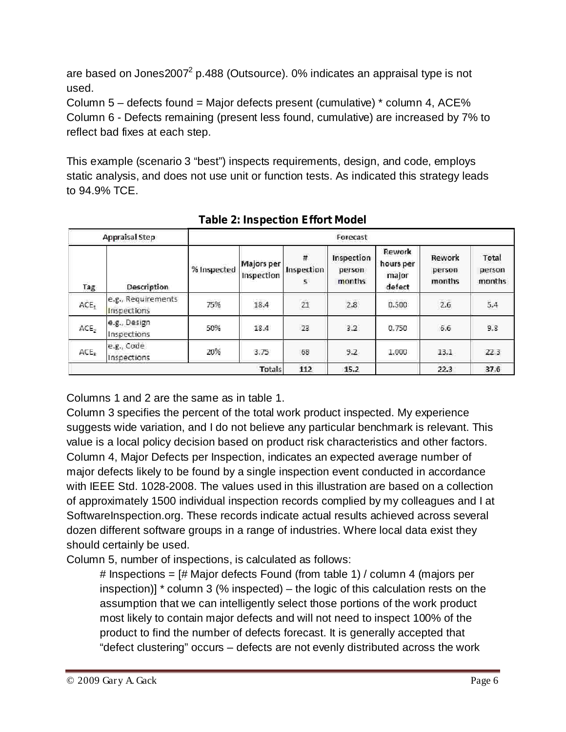are based on Jones2007<sup>2</sup> p.488 (Outsource). 0% indicates an appraisal type is not used.

Column 5 – defects found = Major defects present (cumulative) \* column 4, ACE% Column 6 - Defects remaining (present less found, cumulative) are increased by 7% to reflect bad fixes at each step.

This example (scenario 3 "best") inspects requirements, design, and code, employs static analysis, and does not use unit or function tests. As indicated this strategy leads to 94.9% TCE.

|                  | <b>Appraisal Step</b>             | Forecast    |                          |                      |                                |                                        |                            |                           |  |
|------------------|-----------------------------------|-------------|--------------------------|----------------------|--------------------------------|----------------------------------------|----------------------------|---------------------------|--|
| man in<br>Tag    | Description                       | % Inspected | Majors per<br>Inspection | #<br>Inspection<br>5 | Inspection<br>person<br>months | Rework<br>hours per<br>major<br>defect | Rework<br>person<br>months | Total<br>person<br>months |  |
| ACE <sub>1</sub> | e.g., Requirements<br>Inspections | 75%         | 18.4                     | $\overline{21}$      | $2.8\,$                        | 0.500                                  | 2.6                        | 5,4                       |  |
| ACE <sub>2</sub> | e.g., Design<br>Inspections       | 50%         | 18.4                     | 23                   | 3.2                            | 0.750                                  | 6.6                        | 9.8                       |  |
| ACE <sub>3</sub> | e.g., Code<br>Inspections         | 20%         | 3.75                     | 68                   | 9.2                            | 1.000                                  | 13.1                       | 22.3                      |  |
|                  |                                   |             | Totals                   | 112                  | 15.2                           |                                        | 22.3                       | 37.6                      |  |

**Table 2: Inspection Effort Model**

Columns 1 and 2 are the same as in table 1.

Column 3 specifies the percent of the total work product inspected. My experience suggests wide variation, and I do not believe any particular benchmark is relevant. This value is a local policy decision based on product risk characteristics and other factors. Column 4, Major Defects per Inspection, indicates an expected average number of major defects likely to be found by a single inspection event conducted in accordance with IEEE Std. 1028-2008. The values used in this illustration are based on a collection of approximately 1500 individual inspection records complied by my colleagues and I at SoftwareInspection.org. These records indicate actual results achieved across several dozen different software groups in a range of industries. Where local data exist they should certainly be used.

Column 5, number of inspections, is calculated as follows:

# Inspections = [# Major defects Found (from table 1) / column 4 (majors per inspection)] \* column 3 (% inspected) – the logic of this calculation rests on the assumption that we can intelligently select those portions of the work product most likely to contain major defects and will not need to inspect 100% of the product to find the number of defects forecast. It is generally accepted that "defect clustering" occurs – defects are not evenly distributed across the work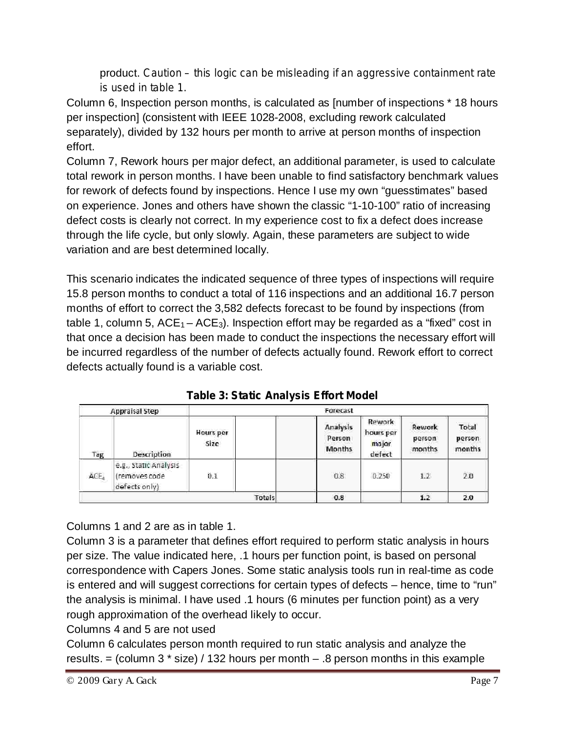product. *Caution – this logic can be misleading if an aggressive containment rate is used in table 1.*

Column 6, Inspection person months, is calculated as [number of inspections \* 18 hours per inspection] (consistent with IEEE 1028-2008, excluding rework calculated separately), divided by 132 hours per month to arrive at person months of inspection effort.

Column 7, Rework hours per major defect, an additional parameter, is used to calculate total rework in person months. I have been unable to find satisfactory benchmark values for rework of defects found by inspections. Hence I use my own "guesstimates" based on experience. Jones and others have shown the classic "1-10-100" ratio of increasing defect costs is clearly not correct. In my experience cost to fix a defect does increase through the life cycle, but only slowly. Again, these parameters are subject to wide variation and are best determined locally.

This scenario indicates the indicated sequence of three types of inspections will require 15.8 person months to conduct a total of 116 inspections and an additional 16.7 person months of effort to correct the 3,582 defects forecast to be found by inspections (from table 1, column 5,  $ACE_1 - ACE_3$ ). Inspection effort may be regarded as a "fixed" cost in that once a decision has been made to conduct the inspections the necessary effort will be incurred regardless of the number of defects actually found. Rework effort to correct defects actually found is a variable cost.

| Forecast<br><b>Appraisal Step</b> |                                                         |                   |                                     |                                               |                            |                           |
|-----------------------------------|---------------------------------------------------------|-------------------|-------------------------------------|-----------------------------------------------|----------------------------|---------------------------|
| Tag                               | Description                                             | Hours per<br>Size | Analysis<br>Person<br><b>Months</b> | <b>Rework</b><br>hours per<br>major<br>defect | Rework<br>person<br>months | Total<br>person<br>months |
| ACE,                              | e.g., Static Analysis<br>(removes code<br>defects only) | 0.1               | 0.8                                 | 0.250                                         | 1.2                        | 2.0                       |
|                                   |                                                         | Totals            | 0.8                                 |                                               | 1.2                        | 2.0                       |

**Table 3: Static Analysis Effort Model**

Columns 1 and 2 are as in table 1.

Column 3 is a parameter that defines effort required to perform static analysis in hours per size. The value indicated here, .1 hours per function point, is based on personal correspondence with Capers Jones. Some static analysis tools run in real-time as code is entered and will suggest corrections for certain types of defects – hence, time to "run" the analysis is minimal. I have used .1 hours (6 minutes per function point) as a very rough approximation of the overhead likely to occur.

Columns 4 and 5 are not used

Column 6 calculates person month required to run static analysis and analyze the results.  $=$  (column 3  $*$  size) / 132 hours per month  $-$  .8 person months in this example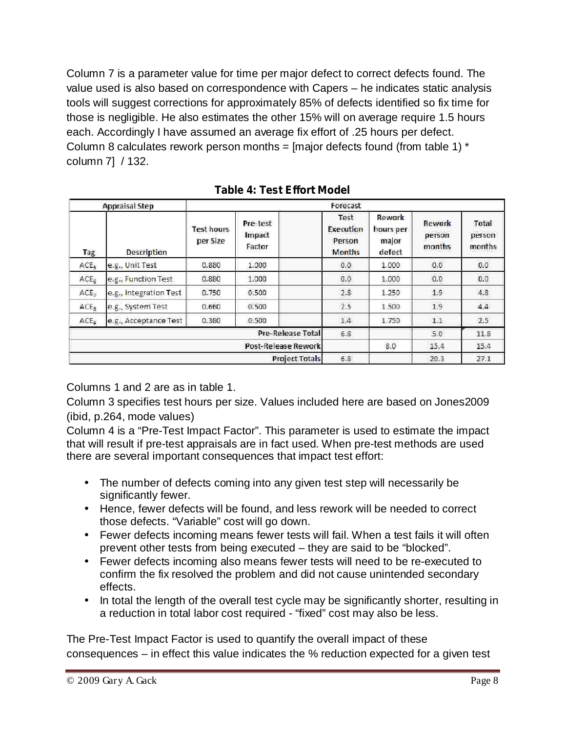Column 7 is a parameter value for time per major defect to correct defects found. The value used is also based on correspondence with Capers – he indicates static analysis tools will suggest corrections for approximately 85% of defects identified so fix time for those is negligible. He also estimates the other 15% will on average require 1.5 hours each. Accordingly I have assumed an average fix effort of .25 hours per defect. Column 8 calculates rework person months =  $[$ major defects found (from table 1)  $*$ column 7] / 132.

|                  | Forecast<br>Appraisal Step |                        |                              |                                              |                                        |                            |                           |
|------------------|----------------------------|------------------------|------------------------------|----------------------------------------------|----------------------------------------|----------------------------|---------------------------|
| Tag              | <b>Description</b>         | Test hours<br>per Size | Pre-test<br>Impact<br>Factor | Test<br>Execution<br>Person<br><b>Months</b> | Rework<br>hours per<br>major<br>defect | Rework<br>person<br>months | Total<br>person<br>months |
| ACE,             | e.g., Unit Test            | 0.880                  | 1.000                        | 0,0.                                         | 1.000                                  | 0,0.                       | 0.0                       |
| ACE <sub>5</sub> | e.g., Function Test        | 0.880                  | 1.000                        | 0.0                                          | 1,000                                  | 0,0                        | 0.0                       |
| ACE <sub>2</sub> | e.g., Integration Test     | 0.750                  | 0.500                        | 2.8                                          | 1.250                                  | 1.9                        | 4.8                       |
| ACE <sub>R</sub> | e.g., System Test          | 0.660                  | 0.500                        | 2.5                                          | 1.500                                  | 1.9                        | 4.4                       |
| ACE <sub>5</sub> | e.g., Acceptance Test      | 0.380                  | 0.500                        | $1.4\,$                                      | 1.750                                  | 11                         | 2.5                       |
|                  |                            |                        | Pre-Release Total            | 6.8                                          |                                        | 5.0                        | 11.8                      |
|                  | <b>Post-Release Rework</b> |                        |                              | 8.0                                          | 15.4                                   | 15.4                       |                           |
|                  |                            |                        | <b>Project Totals</b>        | 6.8                                          |                                        | 20.3                       | 27.1                      |

**Table 4: Test Effort Model**

Columns 1 and 2 are as in table 1.

Column 3 specifies test hours per size. Values included here are based on Jones2009 (ibid, p.264, mode values)

Column 4 is a "Pre-Test Impact Factor". This parameter is used to estimate the impact that will result if pre-test appraisals are in fact used. When pre-test methods are used there are several important consequences that impact test effort:

- The number of defects coming into any given test step will necessarily be significantly fewer.
- Hence, fewer defects will be found, and less rework will be needed to correct those defects. "Variable" cost will go down.
- Fewer defects incoming means fewer tests will fail. When a test fails it will often prevent other tests from being executed – they are said to be "blocked".
- Fewer defects incoming also means fewer tests will need to be re-executed to confirm the fix resolved the problem and did not cause unintended secondary effects.
- In total the length of the overall test cycle may be significantly shorter, resulting in a reduction in total labor cost required - "fixed" cost may also be less.

The Pre-Test Impact Factor is used to quantify the overall impact of these consequences – in effect this value indicates the % reduction expected for a given test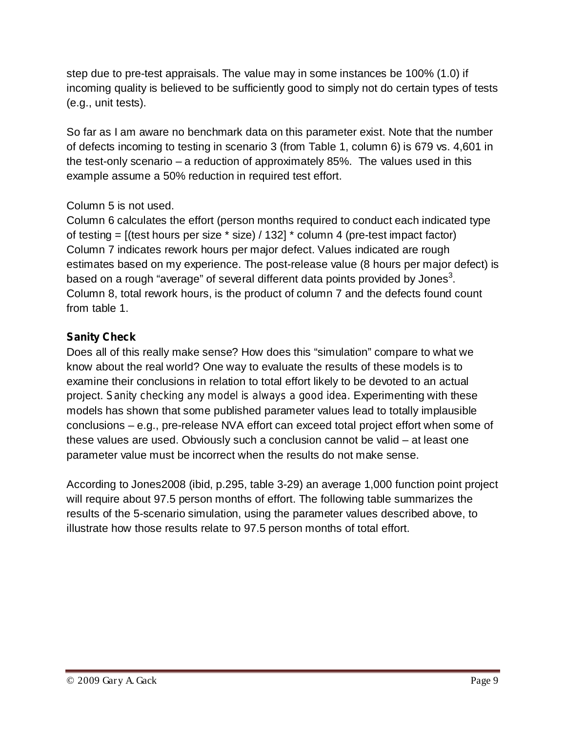step due to pre-test appraisals. The value may in some instances be 100% (1.0) if incoming quality is believed to be sufficiently good to simply not do certain types of tests (e.g., unit tests).

So far as I am aware no benchmark data on this parameter exist. Note that the number of defects incoming to testing in scenario 3 (from Table 1, column 6) is 679 vs. 4,601 in the test-only scenario – a reduction of approximately 85%. The values used in this example assume a 50% reduction in required test effort.

# Column 5 is not used.

Column 6 calculates the effort (person months required to conduct each indicated type of testing =  $[$ (test hours per size  $*$  size) / 132]  $*$  column 4 (pre-test impact factor) Column 7 indicates rework hours per major defect. Values indicated are rough estimates based on my experience. The post-release value (8 hours per major defect) is based on a rough "average" of several different data points provided by Jones<sup>3</sup>. Column 8, total rework hours, is the product of column 7 and the defects found count from table 1.

# **Sanity Check**

Does all of this really make sense? How does this "simulation" compare to what we know about the real world? One way to evaluate the results of these models is to examine their conclusions in relation to total effort likely to be devoted to an actual project. Sanity *checking any model is always a good idea.* Experimenting with these models has shown that some published parameter values lead to totally implausible conclusions – e.g., pre-release NVA effort can exceed total project effort when some of these values are used. Obviously such a conclusion cannot be valid – at least one parameter value must be incorrect when the results do not make sense.

According to Jones2008 (ibid, p.295, table 3-29) an average 1,000 function point project will require about 97.5 person months of effort. The following table summarizes the results of the 5-scenario simulation, using the parameter values described above, to illustrate how those results relate to 97.5 person months of total effort.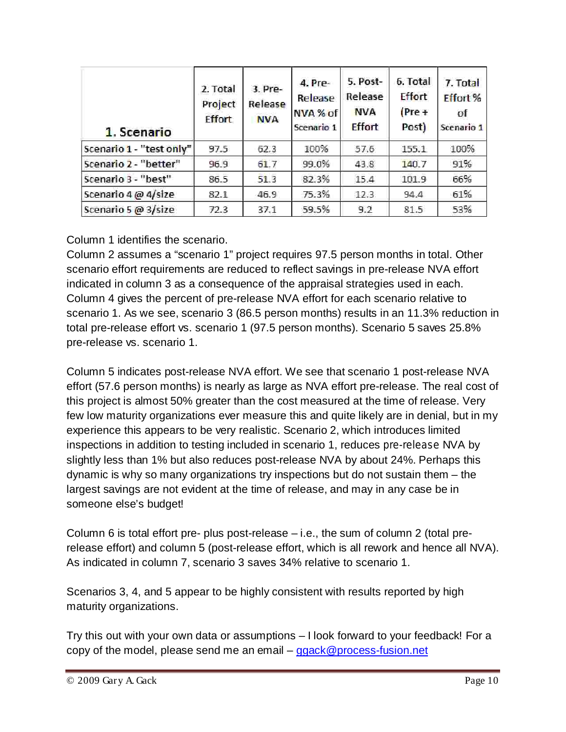| 1. Scenario              | 2. Total<br>Project<br><b>Effort</b> | 3. Pre-<br>Release<br><b>NVA</b> | 4. Pre-<br>Release<br>NVA % of<br>Scenario 1 | 5. Post-<br>Release<br><b>NVA</b><br><b>Effort</b> | 6. Total<br>Effort<br>$(Pre +$<br>Post) | 7. Total<br>Effort %<br>of<br>Scenario 1 |
|--------------------------|--------------------------------------|----------------------------------|----------------------------------------------|----------------------------------------------------|-----------------------------------------|------------------------------------------|
| Scenario 1 - "test only" | 97.5                                 | 62.3                             | 100%                                         | 57.6                                               | 155.1                                   | 100%                                     |
| Scenario 2 - "better"    | 96.9                                 | 61.7                             | 99.0%                                        | 43.8                                               | 140.7                                   | 91%                                      |
| Scenario 3 - "best"      | 86.5                                 | 51.3                             | 82.3%                                        | 15.4                                               | 101.9                                   | 66%                                      |
| Scenario 4 @ 4/size      | 82.1                                 | 46.9                             | 75.3%                                        | 12.3                                               | 94.4                                    | 61%                                      |
| Scenario 5 @ $3/size$    | 72.3                                 | 37.1                             | 59.5%                                        | 9.2                                                | 81.5                                    | 53%                                      |

Column 1 identifies the scenario.

Column 2 assumes a "scenario 1" project requires 97.5 person months in total. Other scenario effort requirements are reduced to reflect savings in pre-release NVA effort indicated in column 3 as a consequence of the appraisal strategies used in each. Column 4 gives the percent of pre-release NVA effort for each scenario relative to scenario 1. As we see, scenario 3 (86.5 person months) results in an 11.3% reduction in total pre-release effort vs. scenario 1 (97.5 person months). Scenario 5 saves 25.8% pre-release vs. scenario 1.

Column 5 indicates post-release NVA effort. We see that scenario 1 post-release NVA effort (57.6 person months) is nearly as large as NVA effort pre-release. The real cost of this project is almost 50% greater than the cost measured at the time of release. Very few low maturity organizations ever measure this and quite likely are in denial, but in my experience this appears to be very realistic. Scenario 2, which introduces limited inspections in addition to testing included in scenario 1, reduces *pre-release* NVA by slightly less than 1% but also reduces post-release NVA by about 24%. Perhaps this dynamic is why so many organizations try inspections but do not sustain them – the largest savings are not evident at the time of release, and may in any case be in someone else's budget!

Column 6 is total effort pre- plus post-release – i.e., the sum of column 2 (total prerelease effort) and column 5 (post-release effort, which is all rework and hence all NVA). As indicated in column 7, scenario 3 saves 34% relative to scenario 1.

Scenarios 3, 4, and 5 appear to be highly consistent with results reported by high maturity organizations.

Try this out with your own data or assumptions – I look forward to your feedback! For a copy of the model, please send me an email – ggack@process-fusion.net